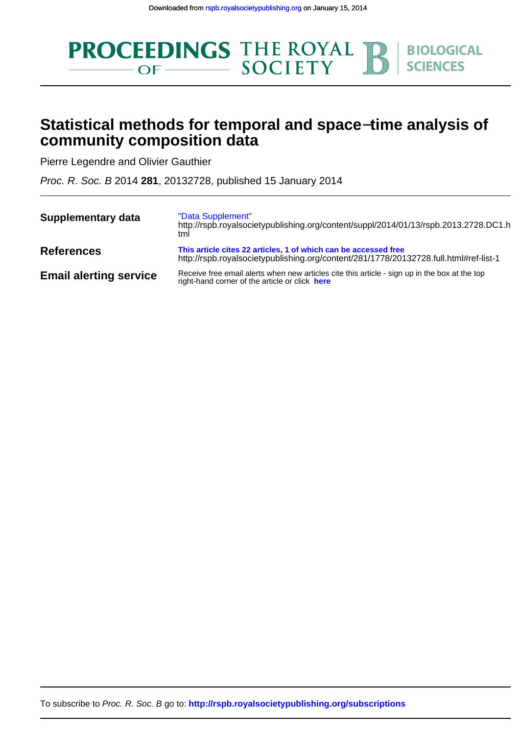

# **community composition data Statistical methods for temporal and space**−**time analysis of**

Pierre Legendre and Olivier Gauthier

Proc. R. Soc. B 2014 **281**, 20132728, published 15 January 2014

| <b>Supplementary data</b>     | "Data Supplement"<br>http://rspb.royalsocietypublishing.org/content/suppl/2014/01/13/rspb.2013.2728.DC1.h<br>tml                                         |
|-------------------------------|----------------------------------------------------------------------------------------------------------------------------------------------------------|
| <b>References</b>             | This article cites 22 articles, 1 of which can be accessed free<br>http://rspb.royalsocietypublishing.org/content/281/1778/20132728.full.html#ref-list-1 |
| <b>Email alerting service</b> | Receive free email alerts when new articles cite this article - sign up in the box at the top<br>right-hand corner of the article or click here          |

To subscribe to Proc. R. Soc. B go to: **<http://rspb.royalsocietypublishing.org/subscriptions>**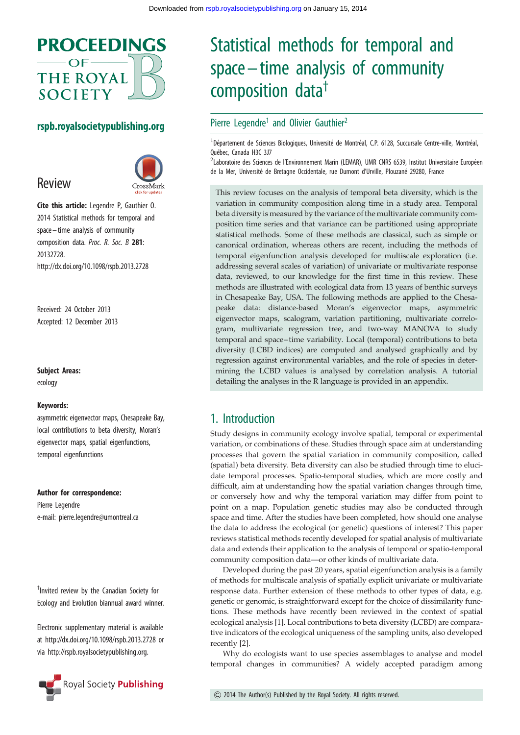

#### rspb.royalsocietypublishing.org

Review



Cite this article: Legendre P, Gauthier O. 2014 Statistical methods for temporal and space – time analysis of community composition data. Proc. R. Soc. B 281: 20132728. http://dx.doi.org/10.1098/rspb.2013.2728

Received: 24 October 2013 Accepted: 12 December 2013

#### Subject Areas:

ecology

#### Keywords:

asymmetric eigenvector maps, Chesapeake Bay, local contributions to beta diversity, Moran's eigenvector maps, spatial eigenfunctions, temporal eigenfunctions

#### Author for correspondence:

Pierre Legendre e-mail: [pierre.legendre@umontreal.ca](mailto:pierre.legendre@umontreal.ca)

† Invited review by the Canadian Society for Ecology and Evolution biannual award winner.

Electronic supplementary material is available at<http://dx.doi.org/10.1098/rspb.2013.2728> or via<http://rspb.royalsocietypublishing.org>.



# Statistical methods for temporal and space –time analysis of community composition data†

## Pierre Legendre<sup>1</sup> and Olivier Gauthier<sup>2</sup>

<sup>1</sup>Département de Sciences Biologiques, Université de Montréal, C.P. 6128, Succursale Centre-ville, Montréal, Québec, Canada H3C 3J7

<sup>2</sup>Laboratoire des Sciences de l'Environnement Marin (LEMAR), UMR CNRS 6539, Institut Universitaire Européen de la Mer, Université de Bretagne Occidentale, rue Dumont d'Urville, Plouzané 29280, France

This review focuses on the analysis of temporal beta diversity, which is the variation in community composition along time in a study area. Temporal beta diversity is measured by the variance of the multivariate community composition time series and that variance can be partitioned using appropriate statistical methods. Some of these methods are classical, such as simple or canonical ordination, whereas others are recent, including the methods of temporal eigenfunction analysis developed for multiscale exploration (i.e. addressing several scales of variation) of univariate or multivariate response data, reviewed, to our knowledge for the first time in this review. These methods are illustrated with ecological data from 13 years of benthic surveys in Chesapeake Bay, USA. The following methods are applied to the Chesapeake data: distance-based Moran's eigenvector maps, asymmetric eigenvector maps, scalogram, variation partitioning, multivariate correlogram, multivariate regression tree, and two-way MANOVA to study temporal and space–time variability. Local (temporal) contributions to beta diversity (LCBD indices) are computed and analysed graphically and by regression against environmental variables, and the role of species in determining the LCBD values is analysed by correlation analysis. A tutorial detailing the analyses in the R language is provided in an appendix.

## 1. Introduction

Study designs in community ecology involve spatial, temporal or experimental variation, or combinations of these. Studies through space aim at understanding processes that govern the spatial variation in community composition, called (spatial) beta diversity. Beta diversity can also be studied through time to elucidate temporal processes. Spatio-temporal studies, which are more costly and difficult, aim at understanding how the spatial variation changes through time, or conversely how and why the temporal variation may differ from point to point on a map. Population genetic studies may also be conducted through space and time. After the studies have been completed, how should one analyse the data to address the ecological (or genetic) questions of interest? This paper reviews statistical methods recently developed for spatial analysis of multivariate data and extends their application to the analysis of temporal or spatio-temporal community composition data—or other kinds of multivariate data.

Developed during the past 20 years, spatial eigenfunction analysis is a family of methods for multiscale analysis of spatially explicit univariate or multivariate response data. Further extension of these methods to other types of data, e.g. genetic or genomic, is straightforward except for the choice of dissimilarity functions. These methods have recently been reviewed in the context of spatial ecological analysis [\[1\]](#page-9-0). Local contributions to beta diversity (LCBD) are comparative indicators of the ecological uniqueness of the sampling units, also developed recently [\[2\]](#page-9-0).

Why do ecologists want to use species assemblages to analyse and model temporal changes in communities? A widely accepted paradigm among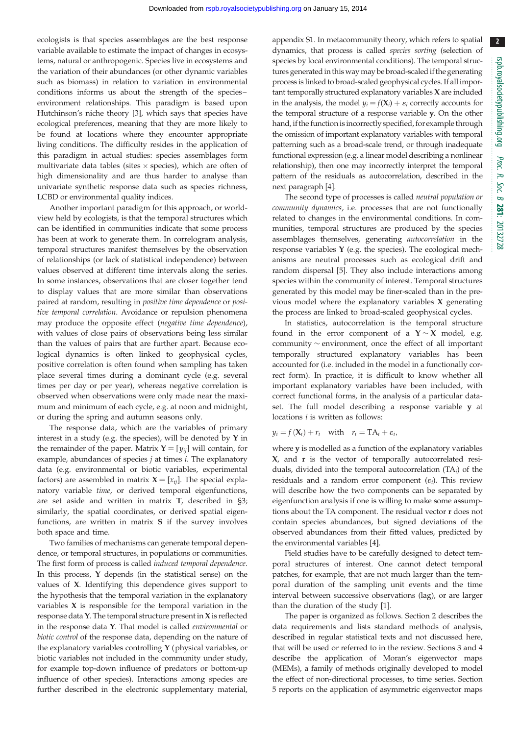ecologists is that species assemblages are the best response variable available to estimate the impact of changes in ecosystems, natural or anthropogenic. Species live in ecosystems and the variation of their abundances (or other dynamic variables such as biomass) in relation to variation in environmental conditions informs us about the strength of the species– environment relationships. This paradigm is based upon Hutchinson's niche theory [\[3\]](#page-9-0), which says that species have ecological preferences, meaning that they are more likely to be found at locations where they encounter appropriate living conditions. The difficulty resides in the application of this paradigm in actual studies: species assemblages form multivariate data tables (sites  $\times$  species), which are often of high dimensionality and are thus harder to analyse than univariate synthetic response data such as species richness, LCBD or environmental quality indices.

Another important paradigm for this approach, or worldview held by ecologists, is that the temporal structures which can be identified in communities indicate that some process has been at work to generate them. In correlogram analysis, temporal structures manifest themselves by the observation of relationships (or lack of statistical independence) between values observed at different time intervals along the series. In some instances, observations that are closer together tend to display values that are more similar than observations paired at random, resulting in positive time dependence or positive temporal correlation. Avoidance or repulsion phenomena may produce the opposite effect (negative time dependence), with values of close pairs of observations being less similar than the values of pairs that are further apart. Because ecological dynamics is often linked to geophysical cycles, positive correlation is often found when sampling has taken place several times during a dominant cycle (e.g. several times per day or per year), whereas negative correlation is observed when observations were only made near the maximum and minimum of each cycle, e.g. at noon and midnight, or during the spring and autumn seasons only.

The response data, which are the variables of primary interest in a study (e.g. the species), will be denoted by Y in the remainder of the paper. Matrix  $\mathbf{Y} = [y_{ij}]$  will contain, for example, abundances of species  $j$  at times  $i$ . The explanatory data (e.g. environmental or biotic variables, experimental factors) are assembled in matrix  $X = [x_{ij}]$ . The special explanatory variable time, or derived temporal eigenfunctions, are set aside and written in matrix T, described in §3; similarly, the spatial coordinates, or derived spatial eigenfunctions, are written in matrix S if the survey involves both space and time.

Two families of mechanisms can generate temporal dependence, or temporal structures, in populations or communities. The first form of process is called induced temporal dependence. In this process, Y depends (in the statistical sense) on the values of X. Identifying this dependence gives support to the hypothesis that the temporal variation in the explanatory variables  $X$  is responsible for the temporal variation in the response data Y. The temporal structure present in X is reflected in the response data Y. That model is called environmental or biotic control of the response data, depending on the nature of the explanatory variables controlling Y (physical variables, or biotic variables not included in the community under study, for example top-down influence of predators or bottom-up influence of other species). Interactions among species are further described in the electronic supplementary material, appendix S1. In metacommunity theory, which refers to spatial dynamics, that process is called species sorting (selection of species by local environmental conditions). The temporal structures generated in this way may be broad-scaled if the generating process is linked to broad-scaled geophysical cycles. If all important temporally structured explanatory variables X are included in the analysis, the model  $y_i = f(\mathbf{X}_i) + \varepsilon_i$  correctly accounts for the temporal structure of a response variable y. On the other hand, if the function is incorrectly specified, for example through the omission of important explanatory variables with temporal patterning such as a broad-scale trend, or through inadequate functional expression (e.g. a linear model describing a nonlinear relationship), then one may incorrectly interpret the temporal pattern of the residuals as autocorrelation, described in the next paragraph [\[4\]](#page-9-0).

The second type of processes is called neutral population or community dynamics, i.e. processes that are not functionally related to changes in the environmental conditions. In communities, temporal structures are produced by the species assemblages themselves, generating autocorrelation in the response variables Y (e.g. the species). The ecological mechanisms are neutral processes such as ecological drift and random dispersal [\[5\]](#page-9-0). They also include interactions among species within the community of interest. Temporal structures generated by this model may be finer-scaled than in the previous model where the explanatory variables X generating the process are linked to broad-scaled geophysical cycles.

In statistics, autocorrelation is the temporal structure found in the error component of a  $Y \sim X$  model, e.g. community  $\sim$  environment, once the effect of all important temporally structured explanatory variables has been accounted for (i.e. included in the model in a functionally correct form). In practice, it is difficult to know whether all important explanatory variables have been included, with correct functional forms, in the analysis of a particular dataset. The full model describing a response variable y at locations  $i$  is written as follows:

$$
y_i = f(\mathbf{X}_i) + r_i \quad \text{with} \quad r_i = \text{TA}_i + \varepsilon_i,
$$

where y is modelled as a function of the explanatory variables X, and r is the vector of temporally autocorrelated residuals, divided into the temporal autocorrelation  $(TA_i)$  of the residuals and a random error component  $(\varepsilon_i)$ . This review will describe how the two components can be separated by eigenfunction analysis if one is willing to make some assumptions about the TA component. The residual vector r does not contain species abundances, but signed deviations of the observed abundances from their fitted values, predicted by the environmental variables [\[4\]](#page-9-0).

Field studies have to be carefully designed to detect temporal structures of interest. One cannot detect temporal patches, for example, that are not much larger than the temporal duration of the sampling unit events and the time interval between successive observations (lag), or are larger than the duration of the study [[1](#page-9-0)].

The paper is organized as follows. Section 2 describes the data requirements and lists standard methods of analysis, described in regular statistical texts and not discussed here, that will be used or referred to in the review. Sections 3 and 4 describe the application of Moran's eigenvector maps (MEMs), a family of methods originally developed to model the effect of non-directional processes, to time series. Section 5 reports on the application of asymmetric eigenvector maps

2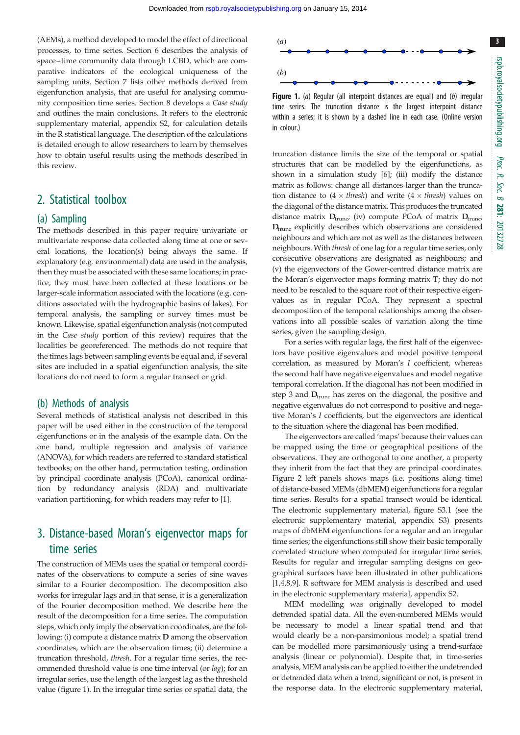(AEMs), a method developed to model the effect of directional processes, to time series. Section 6 describes the analysis of space–time community data through LCBD, which are comparative indicators of the ecological uniqueness of the sampling units. Section 7 lists other methods derived from eigenfunction analysis, that are useful for analysing community composition time series. Section 8 develops a Case study and outlines the main conclusions. It refers to the electronic supplementary material, appendix S2, for calculation details in the R statistical language. The description of the calculations is detailed enough to allow researchers to learn by themselves how to obtain useful results using the methods described in this review.

## 2. Statistical toolbox

#### (a) Sampling

The methods described in this paper require univariate or multivariate response data collected along time at one or several locations, the location(s) being always the same. If explanatory (e.g. environmental) data are used in the analysis, then they must be associated with these same locations; in practice, they must have been collected at these locations or be larger-scale information associated with the locations (e.g. conditions associated with the hydrographic basins of lakes). For temporal analysis, the sampling or survey times must be known. Likewise, spatial eigenfunction analysis (not computed in the Case study portion of this review) requires that the localities be georeferenced. The methods do not require that the times lags between sampling events be equal and, if several sites are included in a spatial eigenfunction analysis, the site locations do not need to form a regular transect or grid.

#### (b) Methods of analysis

Several methods of statistical analysis not described in this paper will be used either in the construction of the temporal eigenfunctions or in the analysis of the example data. On the one hand, multiple regression and analysis of variance (ANOVA), for which readers are referred to standard statistical textbooks; on the other hand, permutation testing, ordination by principal coordinate analysis (PCoA), canonical ordination by redundancy analysis (RDA) and multivariate variation partitioning, for which readers may refer to [\[1\]](#page-9-0).

# 3. Distance-based Moran's eigenvector maps for time series

The construction of MEMs uses the spatial or temporal coordinates of the observations to compute a series of sine waves similar to a Fourier decomposition. The decomposition also works for irregular lags and in that sense, it is a generalization of the Fourier decomposition method. We describe here the result of the decomposition for a time series. The computation steps, which only imply the observation coordinates, are the following: (i) compute a distance matrix D among the observation coordinates, which are the observation times; (ii) determine a truncation threshold, thresh. For a regular time series, the recommended threshold value is one time interval (or lag); for an irregular series, use the length of the largest lag as the threshold value (figure 1). In the irregular time series or spatial data, the



Figure 1. (a) Regular (all interpoint distances are equal) and (b) irregular time series. The truncation distance is the largest interpoint distance within a series; it is shown by a dashed line in each case. (Online version in colour.)

truncation distance limits the size of the temporal or spatial structures that can be modelled by the eigenfunctions, as shown in a simulation study [\[6\]](#page-9-0); (iii) modify the distance matrix as follows: change all distances larger than the truncation distance to  $(4 \times thresh)$  and write  $(4 \times thresh)$  values on the diagonal of the distance matrix. This produces the truncated distance matrix  $D_{trunc}$ ; (iv) compute PCoA of matrix  $D_{trunc}$ ;  $D_{true}$  explicitly describes which observations are considered neighbours and which are not as well as the distances between neighbours. With thresh of one lag for a regular time series, only consecutive observations are designated as neighbours; and (v) the eigenvectors of the Gower-centred distance matrix are the Moran's eigenvector maps forming matrix T; they do not need to be rescaled to the square root of their respective eigenvalues as in regular PCoA. They represent a spectral decomposition of the temporal relationships among the observations into all possible scales of variation along the time series, given the sampling design.

For a series with regular lags, the first half of the eigenvectors have positive eigenvalues and model positive temporal correlation, as measured by Moran's I coefficient, whereas the second half have negative eigenvalues and model negative temporal correlation. If the diagonal has not been modified in step 3 and  $D_{true}$  has zeros on the diagonal, the positive and negative eigenvalues do not correspond to positive and negative Moran's I coefficients, but the eigenvectors are identical to the situation where the diagonal has been modified.

The eigenvectors are called 'maps' because their values can be mapped using the time or geographical positions of the observations. They are orthogonal to one another, a property they inherit from the fact that they are principal coordinates. [Figure 2](#page-4-0) left panels shows maps (i.e. positions along time) of distance-based MEMs (dbMEM) eigenfunctions for a regular time series. Results for a spatial transect would be identical. The electronic supplementary material, figure S3.1 (see the electronic supplementary material, appendix S3) presents maps of dbMEM eigenfunctions for a regular and an irregular time series; the eigenfunctions still show their basic temporally correlated structure when computed for irregular time series. Results for regular and irregular sampling designs on geographical surfaces have been illustrated in other publications [[1,4,8](#page-9-0),[9](#page-9-0)]. R software for MEM analysis is described and used in the electronic supplementary material, appendix S2.

MEM modelling was originally developed to model detrended spatial data. All the even-numbered MEMs would be necessary to model a linear spatial trend and that would clearly be a non-parsimonious model; a spatial trend can be modelled more parsimoniously using a trend-surface analysis (linear or polynomial). Despite that, in time-series analysis, MEM analysis can be applied to either the undetrended or detrended data when a trend, significant or not, is present in the response data. In the electronic supplementary material,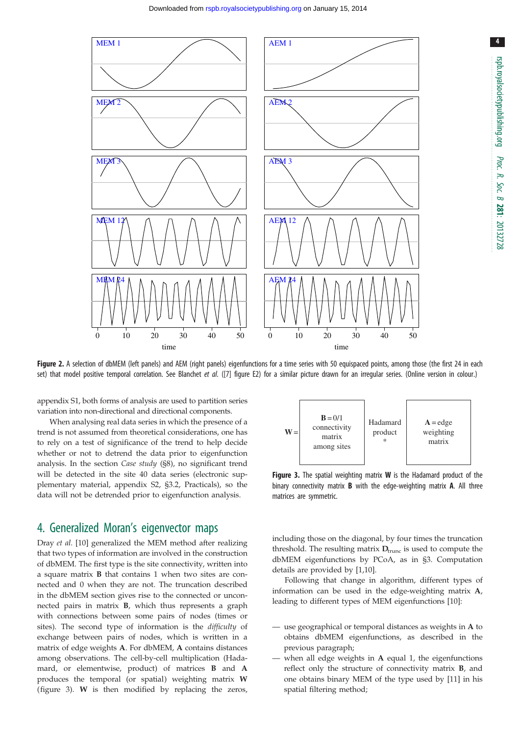<span id="page-4-0"></span>

Figure 2. A selection of dbMEM (left panels) and AEM (right panels) eigenfunctions for a time series with 50 equispaced points, among those (the first 24 in each set) that model positive temporal correlation. See Blanchet et al. ([[7](#page-9-0)] figure E2) for a similar picture drawn for an irregular series. (Online version in colour.)

appendix S1, both forms of analysis are used to partition series variation into non-directional and directional components.

When analysing real data series in which the presence of a trend is not assumed from theoretical considerations, one has to rely on a test of significance of the trend to help decide whether or not to detrend the data prior to eigenfunction analysis. In the section Case study (§8), no significant trend will be detected in the site 40 data series (electronic supplementary material, appendix S2, §3.2, Practicals), so the data will not be detrended prior to eigenfunction analysis.

#### 4. Generalized Moran's eigenvector maps

Dray et al. [\[10](#page-9-0)] generalized the MEM method after realizing that two types of information are involved in the construction of dbMEM. The first type is the site connectivity, written into a square matrix B that contains 1 when two sites are connected and 0 when they are not. The truncation described in the dbMEM section gives rise to the connected or unconnected pairs in matrix B, which thus represents a graph with connections between some pairs of nodes (times or sites). The second type of information is the difficulty of exchange between pairs of nodes, which is written in a matrix of edge weights A. For dbMEM, A contains distances among observations. The cell-by-cell multiplication (Hadamard, or elementwise, product) of matrices B and A produces the temporal (or spatial) weighting matrix W (figure 3). W is then modified by replacing the zeros,



**Figure 3.** The spatial weighting matrix **W** is the Hadamard product of the binary connectivity matrix **B** with the edge-weighting matrix **A**. All three matrices are symmetric.

including those on the diagonal, by four times the truncation threshold. The resulting matrix  $D_{true}$  is used to compute the dbMEM eigenfunctions by PCoA, as in §3. Computation details are provided by [\[1,10](#page-9-0)].

Following that change in algorithm, different types of information can be used in the edge-weighting matrix A, leading to different types of MEM eigenfunctions [\[10](#page-9-0)]:

- use geographical or temporal distances as weights in A to obtains dbMEM eigenfunctions, as described in the previous paragraph;
- when all edge weights in  $A$  equal 1, the eigenfunctions reflect only the structure of connectivity matrix B, and one obtains binary MEM of the type used by [\[11](#page-9-0)] in his spatial filtering method;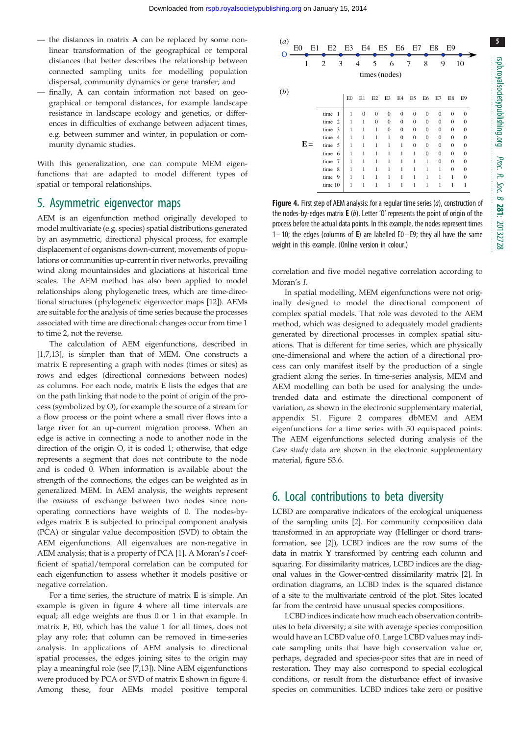- the distances in matrix A can be replaced by some nonlinear transformation of the geographical or temporal distances that better describes the relationship between connected sampling units for modelling population dispersal, community dynamics or gene transfer; and
- finally, A can contain information not based on geographical or temporal distances, for example landscape resistance in landscape ecology and genetics, or differences in difficulties of exchange between adjacent times, e.g. between summer and winter, in population or community dynamic studies.

With this generalization, one can compute MEM eigenfunctions that are adapted to model different types of spatial or temporal relationships.

### 5. Asymmetric eigenvector maps

AEM is an eigenfunction method originally developed to model multivariate (e.g. species) spatial distributions generated by an asymmetric, directional physical process, for example displacement of organisms down-current, movements of populations or communities up-current in river networks, prevailing wind along mountainsides and glaciations at historical time scales. The AEM method has also been applied to model relationships along phylogenetic trees, which are time-directional structures (phylogenetic eigenvector maps [\[12](#page-9-0)]). AEMs are suitable for the analysis of time series because the processes associated with time are directional: changes occur from time 1 to time 2, not the reverse.

The calculation of AEM eigenfunctions, described in [\[1,7,13\]](#page-9-0), is simpler than that of MEM. One constructs a matrix E representing a graph with nodes (times or sites) as rows and edges (directional connexions between nodes) as columns. For each node, matrix E lists the edges that are on the path linking that node to the point of origin of the process (symbolized by O), for example the source of a stream for a flow process or the point where a small river flows into a large river for an up-current migration process. When an edge is active in connecting a node to another node in the direction of the origin O, it is coded 1; otherwise, that edge represents a segment that does not contribute to the node and is coded 0. When information is available about the strength of the connections, the edges can be weighted as in generalized MEM. In AEM analysis, the weights represent the easiness of exchange between two nodes since nonoperating connections have weights of 0. The nodes-byedges matrix E is subjected to principal component analysis (PCA) or singular value decomposition (SVD) to obtain the AEM eigenfunctions. All eigenvalues are non-negative in AEM analysis; that is a property of PCA [[1](#page-9-0)]. A Moran's I coefficient of spatial/temporal correlation can be computed for each eigenfunction to assess whether it models positive or negative correlation.

For a time series, the structure of matrix E is simple. An example is given in figure 4 where all time intervals are equal; all edge weights are thus 0 or 1 in that example. In matrix E, E0, which has the value 1 for all times, does not play any role; that column can be removed in time-series analysis. In applications of AEM analysis to directional spatial processes, the edges joining sites to the origin may play a meaningful role (see [\[7,13](#page-9-0)]). Nine AEM eigenfunctions were produced by PCA or SVD of matrix E shown in figure 4. Among these, four AEMs model positive temporal



**Figure 4.** First step of AEM analysis: for a regular time series  $(a)$ , construction of the nodes-by-edges matrix  $E(h)$ . Letter 'O' represents the point of origin of the process before the actual data points. In this example, the nodes represent times  $1-10$ ; the edges (columns of **E**) are labelled E0–E9; they all have the same weight in this example. (Online version in colour.)

correlation and five model negative correlation according to Moran's I.

In spatial modelling, MEM eigenfunctions were not originally designed to model the directional component of complex spatial models. That role was devoted to the AEM method, which was designed to adequately model gradients generated by directional processes in complex spatial situations. That is different for time series, which are physically one-dimensional and where the action of a directional process can only manifest itself by the production of a single gradient along the series. In time-series analysis, MEM and AEM modelling can both be used for analysing the undetrended data and estimate the directional component of variation, as shown in the electronic supplementary material, appendix S1. [Figure 2](#page-4-0) compares dbMEM and AEM eigenfunctions for a time series with 50 equispaced points. The AEM eigenfunctions selected during analysis of the Case study data are shown in the electronic supplementary material, figure S3.6.

### 6. Local contributions to beta diversity

LCBD are comparative indicators of the ecological uniqueness of the sampling units [\[2](#page-9-0)]. For community composition data transformed in an appropriate way (Hellinger or chord transformation, see [\[2\]](#page-9-0)), LCBD indices are the row sums of the data in matrix Y transformed by centring each column and squaring. For dissimilarity matrices, LCBD indices are the diagonal values in the Gower-centred dissimilarity matrix [\[2\]](#page-9-0). In ordination diagrams, an LCBD index is the squared distance of a site to the multivariate centroid of the plot. Sites located far from the centroid have unusual species compositions.

LCBD indices indicate how much each observation contributes to beta diversity; a site with average species composition would have an LCBD value of 0. Large LCBD values may indicate sampling units that have high conservation value or, perhaps, degraded and species-poor sites that are in need of restoration. They may also correspond to special ecological conditions, or result from the disturbance effect of invasive species on communities. LCBD indices take zero or positive 5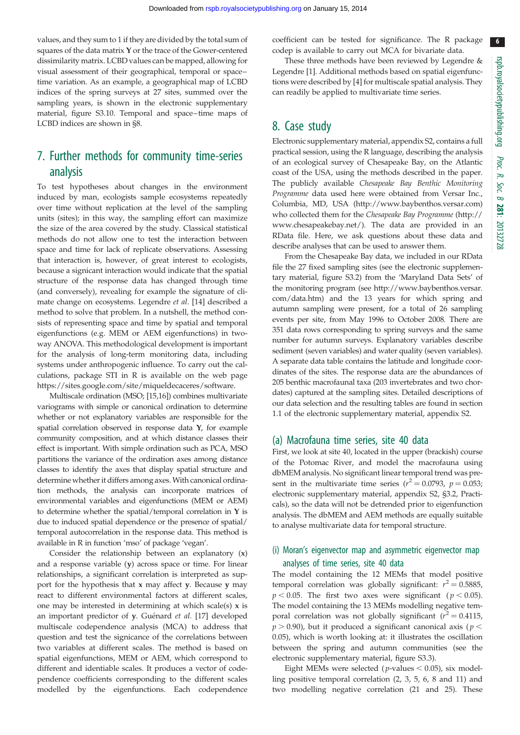6

values, and they sum to 1 if they are divided by the total sum of squares of the data matrix Y or the trace of the Gower-centered dissimilarity matrix. LCBD values can be mapped, allowing for visual assessment of their geographical, temporal or space– time variation. As an example, a geographical map of LCBD indices of the spring surveys at 27 sites, summed over the sampling years, is shown in the electronic supplementary material, figure S3.10. Temporal and space–time maps of LCBD indices are shown in §8.

# 7. Further methods for community time-series analysis

To test hypotheses about changes in the environment induced by man, ecologists sample ecosystems repeatedly over time without replication at the level of the sampling units (sites); in this way, the sampling effort can maximize the size of the area covered by the study. Classical statistical methods do not allow one to test the interaction between space and time for lack of replicate observations. Assessing that interaction is, however, of great interest to ecologists, because a signicant interaction would indicate that the spatial structure of the response data has changed through time (and conversely), revealing for example the signature of climate change on ecosystems. Legendre et al. [[14\]](#page-9-0) described a method to solve that problem. In a nutshell, the method consists of representing space and time by spatial and temporal eigenfunctions (e.g. MEM or AEM eigenfunctions) in twoway ANOVA. This methodological development is important for the analysis of long-term monitoring data, including systems under anthropogenic influence. To carry out the calculations, package STI in R is available on the web page [https://sites.google.com/site/miqueldecaceres/software.](https://sites.google.com/site/miqueldecaceres/software)

Multiscale ordination (MSO; [[15,16](#page-9-0)]) combines multivariate variograms with simple or canonical ordination to determine whether or not explanatory variables are responsible for the spatial correlation observed in response data Y, for example community composition, and at which distance classes their effect is important. With simple ordination such as PCA, MSO partitions the variance of the ordination axes among distance classes to identify the axes that display spatial structure and determine whether it differs among axes. With canonical ordination methods, the analysis can incorporate matrices of environmental variables and eigenfunctions (MEM or AEM) to determine whether the spatial/temporal correlation in Y is due to induced spatial dependence or the presence of spatial/ temporal autocorrelation in the response data. This method is available in R in function 'mso' of package 'vegan'.

Consider the relationship between an explanatory (x) and a response variable  $(v)$  across space or time. For linear relationships, a significant correlation is interpreted as support for the hypothesis that  $x$  may affect  $y$ . Because  $y$  may react to different environmental factors at different scales, one may be interested in determining at which scale(s) x is an important predictor of y. Guénard et al. [\[17\]](#page-9-0) developed multiscale codependence analysis (MCA) to address that question and test the signicance of the correlations between two variables at different scales. The method is based on spatial eigenfunctions, MEM or AEM, which correspond to different and identiable scales. It produces a vector of codependence coefficients corresponding to the different scales modelled by the eigenfunctions. Each codependence coefficient can be tested for significance. The R package codep is available to carry out MCA for bivariate data.

These three methods have been reviewed by Legendre & Legendre [[1](#page-9-0)]. Additional methods based on spatial eigenfunctions were described by [\[4\]](#page-9-0) for multiscale spatial analysis. They can readily be applied to multivariate time series.

# 8. Case study

Electronic supplementary material, appendix S2, contains a full practical session, using the R language, describing the analysis of an ecological survey of Chesapeake Bay, on the Atlantic coast of the USA, using the methods described in the paper. The publicly available Chesapeake Bay Benthic Monitoring Programme data used here were obtained from Versar Inc., Columbia, MD, USA ([http://www.baybenthos.versar.com\)](http://www.baybenthos.versar.com) who collected them for the Chesapeake Bay Programme ([http://](http://www.chesapeakebay.net/) [www.chesapeakebay.net/](http://www.chesapeakebay.net/)). The data are provided in an RData file. Here, we ask questions about these data and describe analyses that can be used to answer them.

From the Chesapeake Bay data, we included in our RData file the 27 fixed sampling sites (see the electronic supplementary material, figure S3.2) from the 'Maryland Data Sets' of the monitoring program (see [http://www.baybenthos.versar.](http://www.baybenthos.versar.com/data.htm) [com/data.htm](http://www.baybenthos.versar.com/data.htm)) and the 13 years for which spring and autumn sampling were present, for a total of 26 sampling events per site, from May 1996 to October 2008. There are 351 data rows corresponding to spring surveys and the same number for autumn surveys. Explanatory variables describe sediment (seven variables) and water quality (seven variables). A separate data table contains the latitude and longitude coordinates of the sites. The response data are the abundances of 205 benthic macrofaunal taxa (203 invertebrates and two chordates) captured at the sampling sites. Detailed descriptions of our data selection and the resulting tables are found in section 1.1 of the electronic supplementary material, appendix S2.

#### (a) Macrofauna time series, site 40 data

First, we look at site 40, located in the upper (brackish) course of the Potomac River, and model the macrofauna using dbMEM analysis. No significant linear temporal trend was present in the multivariate time series ( $r^2 = 0.0793$ ,  $p = 0.053$ ) electronic supplementary material, appendix S2, §3.2, Practicals), so the data will not be detrended prior to eigenfunction analysis. The dbMEM and AEM methods are equally suitable to analyse multivariate data for temporal structure.

#### (i) Moran's eigenvector map and asymmetric eigenvector map analyses of time series, site 40 data

The model containing the 12 MEMs that model positive temporal correlation was globally significant:  $r^2 = 0.5885$ ,  $p < 0.05$ . The first two axes were significant ( $p < 0.05$ ). The model containing the 13 MEMs modelling negative temporal correlation was not globally significant ( $r^2 = 0.4115$ ,  $p > 0.90$ ), but it produced a significant canonical axis ( $p <$ 0.05), which is worth looking at: it illustrates the oscillation between the spring and autumn communities (see the electronic supplementary material, figure S3.3).

Eight MEMs were selected ( $p$ -values < 0.05), six modelling positive temporal correlation (2, 3, 5, 6, 8 and 11) and two modelling negative correlation (21 and 25). These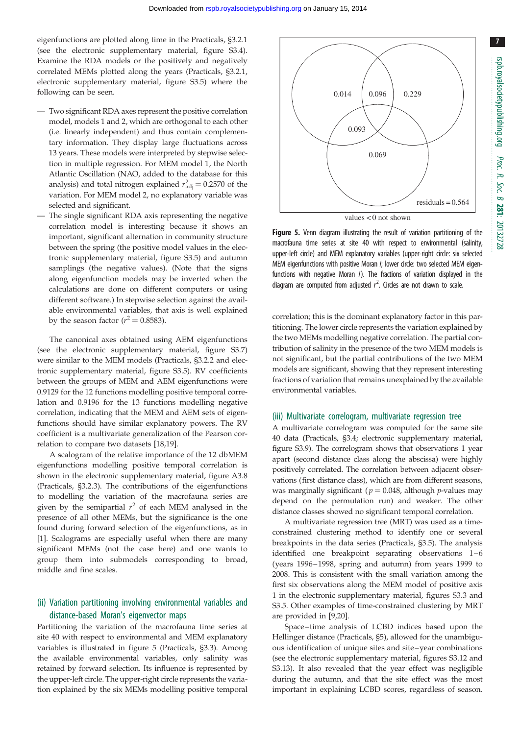eigenfunctions are plotted along time in the Practicals, §3.2.1 (see the electronic supplementary material, figure S3.4). Examine the RDA models or the positively and negatively correlated MEMs plotted along the years (Practicals, §3.2.1, electronic supplementary material, figure S3.5) where the following can be seen.

- Two significant RDA axes represent the positive correlation model, models 1 and 2, which are orthogonal to each other (i.e. linearly independent) and thus contain complementary information. They display large fluctuations across 13 years. These models were interpreted by stepwise selection in multiple regression. For MEM model 1, the North Atlantic Oscillation (NAO, added to the database for this analysis) and total nitrogen explained  $r_{\text{adj}}^2 = 0.2570$  of the variation. For MEM model 2, no explanatory variable was selected and significant.
- The single significant RDA axis representing the negative correlation model is interesting because it shows an important, significant alternation in community structure between the spring (the positive model values in the electronic supplementary material, figure S3.5) and autumn samplings (the negative values). (Note that the signs along eigenfunction models may be inverted when the calculations are done on different computers or using different software.) In stepwise selection against the available environmental variables, that axis is well explained by the season factor  $(r^2 = 0.8583)$ .

The canonical axes obtained using AEM eigenfunctions (see the electronic supplementary material, figure S3.7) were similar to the MEM models (Practicals, §3.2.2 and electronic supplementary material, figure S3.5). RV coefficients between the groups of MEM and AEM eigenfunctions were 0.9129 for the 12 functions modelling positive temporal correlation and 0.9196 for the 13 functions modelling negative correlation, indicating that the MEM and AEM sets of eigenfunctions should have similar explanatory powers. The RV coefficient is a multivariate generalization of the Pearson correlation to compare two datasets [\[18,19](#page-9-0)].

A scalogram of the relative importance of the 12 dbMEM eigenfunctions modelling positive temporal correlation is shown in the electronic supplementary material, figure A3.8 (Practicals, §3.2.3). The contributions of the eigenfunctions to modelling the variation of the macrofauna series are given by the semipartial  $r^2$  of each MEM analysed in the presence of all other MEMs, but the significance is the one found during forward selection of the eigenfunctions, as in [\[1\]](#page-9-0). Scalograms are especially useful when there are many significant MEMs (not the case here) and one wants to group them into submodels corresponding to broad, middle and fine scales.

#### (ii) Variation partitioning involving environmental variables and distance-based Moran's eigenvector maps

Partitioning the variation of the macrofauna time series at site 40 with respect to environmental and MEM explanatory variables is illustrated in figure 5 (Practicals, §3.3). Among the available environmental variables, only salinity was retained by forward selection. Its influence is represented by the upper-left circle. The upper-right circle represents the variation explained by the six MEMs modelling positive temporal



Figure 5. Venn diagram illustrating the result of variation partitioning of the macrofauna time series at site 40 with respect to environmental (salinity, upper-left circle) and MEM explanatory variables (upper-right circle: six selected MEM eigenfunctions with positive Moran I; lower circle: two selected MEM eigenfunctions with negative Moran /). The fractions of variation displayed in the

diagram are computed from adjusted  $r^2$ . Circles are not drawn to scale.

correlation; this is the dominant explanatory factor in this partitioning. The lower circle represents the variation explained by the two MEMs modelling negative correlation. The partial contribution of salinity in the presence of the two MEM models is not significant, but the partial contributions of the two MEM models are significant, showing that they represent interesting fractions of variation that remains unexplained by the available environmental variables.

#### (iii) Multivariate correlogram, multivariate regression tree

A multivariate correlogram was computed for the same site 40 data (Practicals, §3.4; electronic supplementary material, figure S3.9). The correlogram shows that observations 1 year apart (second distance class along the abscissa) were highly positively correlated. The correlation between adjacent observations (first distance class), which are from different seasons, was marginally significant ( $p = 0.048$ , although p-values may depend on the permutation run) and weaker. The other distance classes showed no significant temporal correlation.

A multivariate regression tree (MRT) was used as a timeconstrained clustering method to identify one or several breakpoints in the data series (Practicals, §3.5). The analysis identified one breakpoint separating observations 1–6 (years 1996–1998, spring and autumn) from years 1999 to 2008. This is consistent with the small variation among the first six observations along the MEM model of positive axis 1 in the electronic supplementary material, figures S3.3 and S3.5. Other examples of time-constrained clustering by MRT are provided in [\[9,20](#page-9-0)].

Space–time analysis of LCBD indices based upon the Hellinger distance (Practicals, §5), allowed for the unambiguous identification of unique sites and site–year combinations (see the electronic supplementary material, figures S3.12 and S3.13). It also revealed that the year effect was negligible during the autumn, and that the site effect was the most important in explaining LCBD scores, regardless of season.

7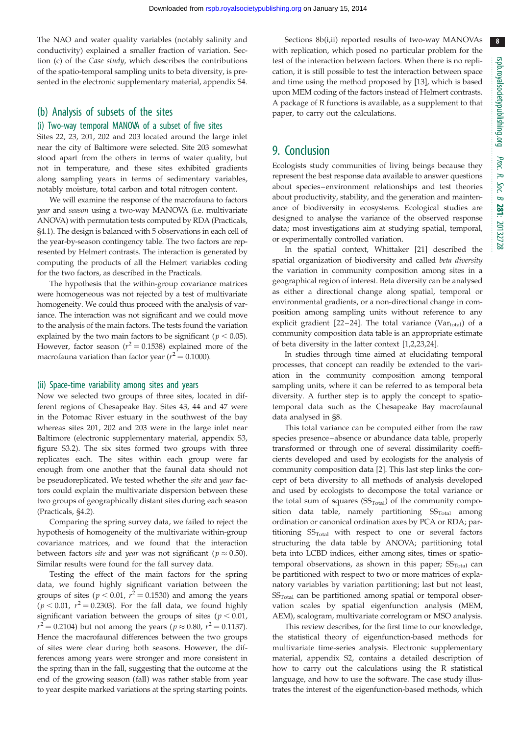8

The NAO and water quality variables (notably salinity and conductivity) explained a smaller fraction of variation. Section (c) of the Case study, which describes the contributions of the spatio-temporal sampling units to beta diversity, is presented in the electronic supplementary material, appendix S4.

### (b) Analysis of subsets of the sites (i) Two-way temporal MANOVA of a subset of five sites

Sites 22, 23, 201, 202 and 203 located around the large inlet near the city of Baltimore were selected. Site 203 somewhat stood apart from the others in terms of water quality, but not in temperature, and these sites exhibited gradients along sampling years in terms of sedimentary variables, notably moisture, total carbon and total nitrogen content.

We will examine the response of the macrofauna to factors year and season using a two-way MANOVA (i.e. multivariate ANOVA) with permutation tests computed by RDA (Practicals, §4.1). The design is balanced with 5 observations in each cell of the year-by-season contingency table. The two factors are represented by Helmert contrasts. The interaction is generated by computing the products of all the Helmert variables coding for the two factors, as described in the Practicals.

The hypothesis that the within-group covariance matrices were homogeneous was not rejected by a test of multivariate homogeneity. We could thus proceed with the analysis of variance. The interaction was not significant and we could move to the analysis of the main factors. The tests found the variation explained by the two main factors to be significant ( $p < 0.05$ ). However, factor season ( $r^2 = 0.1538$ ) explained more of the macrofauna variation than factor year ( $r^2 = 0.1000$ ).

#### (ii) Space-time variability among sites and years

Now we selected two groups of three sites, located in different regions of Chesapeake Bay. Sites 43, 44 and 47 were in the Potomac River estuary in the southwest of the bay whereas sites 201, 202 and 203 were in the large inlet near Baltimore (electronic supplementary material, appendix S3, figure S3.2). The six sites formed two groups with three replicates each. The sites within each group were far enough from one another that the faunal data should not be pseudoreplicated. We tested whether the site and year factors could explain the multivariate dispersion between these two groups of geographically distant sites during each season (Practicals, §4.2).

Comparing the spring survey data, we failed to reject the hypothesis of homogeneity of the multivariate within-group covariance matrices, and we found that the interaction between factors *site* and *year* was not significant ( $p \approx 0.50$ ). Similar results were found for the fall survey data.

Testing the effect of the main factors for the spring data, we found highly significant variation between the groups of sites ( $p < 0.01$ ,  $r^2 = 0.1530$ ) and among the years  $(p < 0.01, r<sup>2</sup> = 0.2303)$ . For the fall data, we found highly significant variation between the groups of sites ( $p < 0.01$ ,  $r^2 = 0.2104$ ) but not among the years ( $p \approx 0.80$ ,  $r^2 = 0.1137$ ). Hence the macrofaunal differences between the two groups of sites were clear during both seasons. However, the differences among years were stronger and more consistent in the spring than in the fall, suggesting that the outcome at the end of the growing season (fall) was rather stable from year to year despite marked variations at the spring starting points.

Sections 8b(i,ii) reported results of two-way MANOVAs with replication, which posed no particular problem for the test of the interaction between factors. When there is no replication, it is still possible to test the interaction between space and time using the method proposed by [\[13](#page-9-0)], which is based upon MEM coding of the factors instead of Helmert contrasts. A package of R functions is available, as a supplement to that paper, to carry out the calculations.

## 9. Conclusion

Ecologists study communities of living beings because they represent the best response data available to answer questions about species–environment relationships and test theories about productivity, stability, and the generation and maintenance of biodiversity in ecosystems. Ecological studies are designed to analyse the variance of the observed response data; most investigations aim at studying spatial, temporal, or experimentally controlled variation.

In the spatial context, Whittaker [[21\]](#page-9-0) described the spatial organization of biodiversity and called beta diversity the variation in community composition among sites in a geographical region of interest. Beta diversity can be analysed as either a directional change along spatial, temporal or environmental gradients, or a non-directional change in composition among sampling units without reference to any explicit gradient  $[22-24]$  $[22-24]$  $[22-24]$ . The total variance (Va $r_{total}$ ) of a community composition data table is an appropriate estimate of beta diversity in the latter context [[1,2,23,24](#page-9-0)].

In studies through time aimed at elucidating temporal processes, that concept can readily be extended to the variation in the community composition among temporal sampling units, where it can be referred to as temporal beta diversity. A further step is to apply the concept to spatiotemporal data such as the Chesapeake Bay macrofaunal data analysed in §8.

This total variance can be computed either from the raw species presence–absence or abundance data table, properly transformed or through one of several dissimilarity coefficients developed and used by ecologists for the analysis of community composition data [[2](#page-9-0)]. This last step links the concept of beta diversity to all methods of analysis developed and used by ecologists to decompose the total variance or the total sum of squares  $(SS_{Total})$  of the community composition data table, namely partitioning  $SS<sub>Total</sub>$  among ordination or canonical ordination axes by PCA or RDA; partitioning  $SS_{Total}$  with respect to one or several factors structuring the data table by ANOVA; partitioning total beta into LCBD indices, either among sites, times or spatiotemporal observations, as shown in this paper;  $SS<sub>Total</sub>$  can be partitioned with respect to two or more matrices of explanatory variables by variation partitioning; last but not least, SS<sub>Total</sub> can be partitioned among spatial or temporal observation scales by spatial eigenfunction analysis (MEM, AEM), scalogram, multivariate correlogram or MSO analysis.

This review describes, for the first time to our knowledge, the statistical theory of eigenfunction-based methods for multivariate time-series analysis. Electronic supplementary material, appendix S2, contains a detailed description of how to carry out the calculations using the R statistical language, and how to use the software. The case study illustrates the interest of the eigenfunction-based methods, which